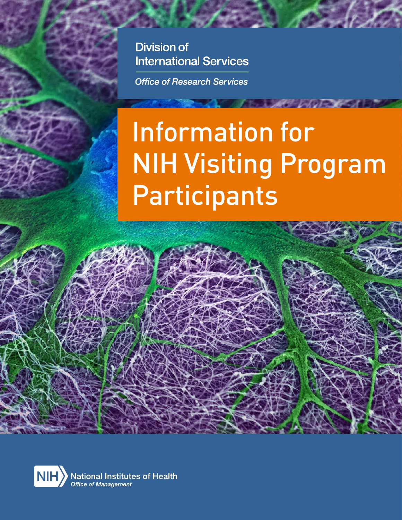**Division of International Services** 

**Office of Research Services** 

# Information for NIH Visiting Program Participants

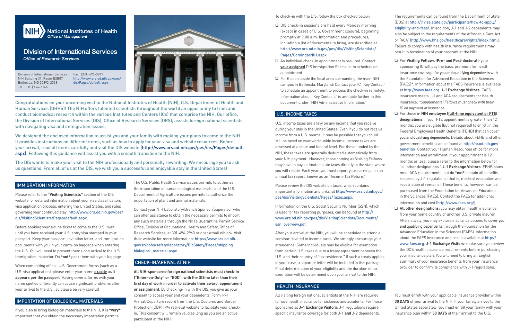

## **Division of International Services Office of Research Services**

Congratulations on your upcoming visit to the National Institutes of Health (NIH), U.S. Department of Health and Human Services (DHHS)! The NIH offers talented scientists throughout the world an opportunity to train and conduct biomedical research within the various Institutes and Centers (ICs) that comprise the NIH. Our office, the Division of International Services (DIS), Office of Research Services (ORS), assists foreign national scientists with navigating visa and immigration issues.

We designed the enclosed information to assist you and your family with making your plans to come to the NIH. It provides instructions on different items, such as how to apply for your visa and website resources. Before your arrival, read all items carefully and visit the DIS website (http://www.ors.od.nih.gov/pes/dis/Pages/default. aspx). Following this guidance will assist you with a smooth transition to the NIH.

The DIS wants to make your visit to the NIH professionally and personally rewarding. We encourage you to ask us questions. From all of us at the DIS, we wish you a successful and enjoyable stay in the United States!

## IMMIGRATION INFORMATION

Please refer to the **"Visiting Scientists"** section of the DIS website for detailed information about your visa classification, visa application process, entering the United States, and rules governing your continued stay: http://www.ors.od.nih.gov/pes/ dis/VisitingScientists/Pages/default.aspx.

Before booking your airline ticket to come to the U.S., wait until you have received your U.S. entry visa stamped in your passport. Keep your passport, invitation letter, and immigration documents with you in your carry-on baggage when entering the U.S. You will need to present them upon arrival to the U.S. Immigration Inspector. Do **\*not\*** pack them with your luggage.

When completing official U.S. Government forms (such as a U.S. visa application), please enter your name **exactly as it appears per the passport**. Having several forms with your name spelled differently can cause significant problems after your arrival to the U.S., so please be very careful!

## IMPORTATION OF BIOLOGICAL MATERIALS

If you plan to bring biological materials to the NIH, it is **\*very\*** important that you obtain the necessary importation permits.

To check-in with the DIS, follow the box checked below:

- ❏ DIS check-in sessions are held every Monday morning (except in cases of U.S. Government closure), beginning promptly at 9:00 a.m. Information and procedures, including a list of documents to bring, are described at http://www.ors.od.nih.gov/pes/dis/VisitingScientists/ Pages/ComingtoNIH.aspx.
- ❏ An individual check-in appointment is required. Contact **your assigned** DIS Immigration Specialist to schedule an appointment.
- ❏ For those outside the local area surrounding the main NIH campus in Bethesda, Maryland: Contact your IC "Key Contact" to schedule an appointment to process the check-in remotely. Information about "Key Contacts" is available further in this document under "NIH Administrative Information."

## U.S. INCOME TAXES

U.S. income taxes are a levy on any income that you receive during your stay in the United States. Even if you do not receive income from a U.S. source, it may be possible that you could still be taxed on your world-wide income. Income taxes are assessed at a state and federal level. For those funded by the NIH, these taxes are generally deducted automatically from your NIH payment. However, those coming as Visiting Fellows may have to pay estimated state taxes directly to the state where you will reside. Each year, you must report your earnings on an annual tax report, known as an "Income Tax Return."

Please review the DIS website on taxes, which contains important information and links, at http://www.ors.od.nih.gov/ pes/dis/VisitingScientists/Pages/Taxes.aspx.

Information on the U.S. Social Security Number (SSN), which is used for tax reporting purposes, can be found at http:// www.ors.od.nih.gov/pes/dis/VisitingScientists/Documents/ ssn\_overview.pdf.

After your arrival at the NIH, you will be scheduled to attend a seminar devoted to income taxes. We strongly encourage your attendance! Some individuals may be eligible for exemption from certain U.S. taxes due to a treaty agreement between the U.S. and their country of "tax residence." If such a treaty applies in your case, a separate letter will be included in this package. Final determination of your eligibility and the duration of tax exemption will be determined upon your arrival to the NIH.

## HEALTH INSURANCE

All visiting foreign national scientists at the NIH are required to have health insurance for sickness and accidents. For those sponsored as **J-1 Exchange Visitors**: J-1 regulations require specific insurance coverage for both J-1 **and** J-2 dependents.

The requirements can be found from the Department of State (DOS) at http://j1visa.state.gov/participants/how-to-apply/ eligibility-and-fees/. In addition, J-1 and J-2 dependents may also be subject to the requirements of the Affordable Care Act or "ACA" (http://www.hhs.gov/healthcare/rights/index.html). Failure to comply with health insurance requirements may result in termination of your program at the NIH.

❏ For **Visiting Fellows (Pre- and Post-doctoral)**: your sponsoring IC will pay the basic premium for health insurance coverage **for you and qualifying depend**ents with the Foundation for Advanced Education in the Sciences (FAES)\*. Information about the FAES insurance is available at http://www.faes.org. **J-1 Exchange Visitors**: FAES insurance meets J-1 and ACA requirements for health insurance. *\*Supplemental Fellows must check with their IC on payment of insurance.*

❏ For those in **NIH employee (full-time equivalent or FTE) designations**: if your FTE appointment is greater than 12 months, you are eligible (but not required) to enroll in the Federal Employees Health Benefits (FEHB) that can cover **you and qualifying dependents.** Details about FEHB and other government benefits can be found at http://hr.od.nih.gov/ benefits/. Contact your Human Resources office for more information and enrollment. If your appointment is 12 months or less, please refer to the information below for "all other designations." **J-1 Exchange Visitors**: FEHB plans meet ACA requirements, but do **\*not\*** contain all benefits required by J-1 regulations (that is, medical evacuation and repatriation of remains). These benefits, however, can be purchased from the Foundation for Advanced Education in the Sciences (FAES). Contact the FAES for additional information and cost (http://www.faes.org/).

❏ **All other designations**: you may obtain health insurance from your home country or another U.S. private insurer. Alternatively, you may explore insurance options to cover **you and qualifying dependents** through the Foundation for the Advanced Education in the Sciences (FAES). Information about the FAES insurance and cost is available at http:// www.faes.org. **J-1 Exchange Visitors**: make sure you review the DOS health insurance requirements before purchasing your insurance plan. You will need to bring an English summary of your insurance benefits from your insurance provider to confirm its compliance with J-1 regulations.

You must enroll with your applicable insurance provider within **30 DAYS** of your arrival to the NIH. If your family arrives to the United States separately, you must enroll your family with your insurance plan within **30 DAYS** of their arrival to the U.S.

Division of International Services NIH Building 31, Room B2B07 Bethesda, MD 20892-2028 Tel (301) 496-6166

Fax (301) 496-0847 http://www.ors.od.nih.gov/pes/ dis/Pages/default.aspx



The U.S. Public Health Service issues permits to authorize the importation of human biological materials, and the U.S. Department of Agriculture issues permits to authorize the importation of plant and animal materials.

Contact your NIH Laboratory/Branch Sponsor/Supervisor who can offer assistance to obtain the necessary permits to import any such materials through the NIH's Quarantine Permit Service Office, Division of Occupational Health and Safety, Office of Research Services, at 301-496-2960 or qpso@mail.nih.gov. Visit their website for more information: https://www.ors.od.nih. gov/sr/dohs/safety/laboratory/BioSafety/Pages/shipping\_ biological\_material.aspx

## CHECK-IN/ARRIVAL AT NIH

**All NIH-sponsored foreign national scientists must check-in ("Enter-on-Duty" or "EOD") with the DIS no later than their first day of work in order to activate their award, appointment or assignment.** By checking-in with the DIS, you give us your consent to access your and your dependents' Form I-94 Arrival/Departure record from the U.S. Customs and Border Protection (CBP) I-94 retrieval website to facilitate your checkin. This consent will remain valid as long as you are an active participant at the NIH.